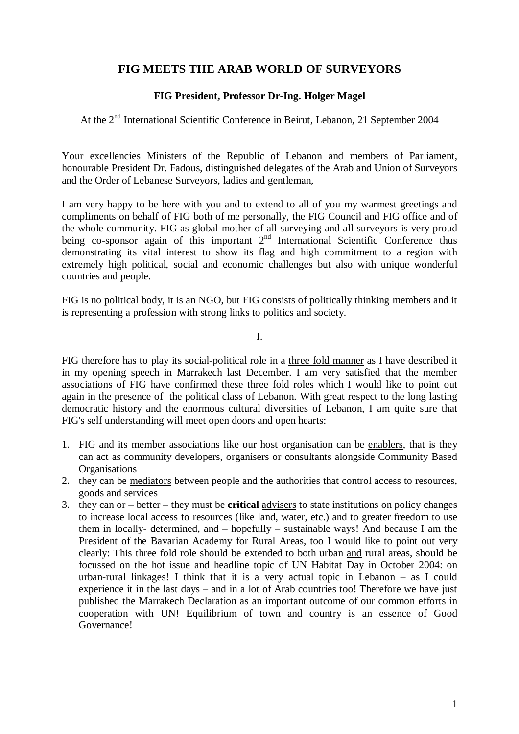## **FIG MEETS THE ARAB WORLD OF SURVEYORS**

## **FIG President, Professor Dr-Ing. Holger Magel**

At the 2<sup>nd</sup> International Scientific Conference in Beirut, Lebanon, 21 September 2004

Your excellencies Ministers of the Republic of Lebanon and members of Parliament, honourable President Dr. Fadous, distinguished delegates of the Arab and Union of Surveyors and the Order of Lebanese Surveyors, ladies and gentleman,

I am very happy to be here with you and to extend to all of you my warmest greetings and compliments on behalf of FIG both of me personally, the FIG Council and FIG office and of the whole community. FIG as global mother of all surveying and all surveyors is very proud being co-sponsor again of this important 2<sup>nd</sup> International Scientific Conference thus demonstrating its vital interest to show its flag and high commitment to a region with extremely high political, social and economic challenges but also with unique wonderful countries and people.

FIG is no political body, it is an NGO, but FIG consists of politically thinking members and it is representing a profession with strong links to politics and society.

I.

FIG therefore has to play its social-political role in a three fold manner as I have described it in my opening speech in Marrakech last December. I am very satisfied that the member associations of FIG have confirmed these three fold roles which I would like to point out again in the presence of the political class of Lebanon. With great respect to the long lasting democratic history and the enormous cultural diversities of Lebanon, I am quite sure that FIG's self understanding will meet open doors and open hearts:

- 1. FIG and its member associations like our host organisation can be enablers, that is they can act as community developers, organisers or consultants alongside Community Based **Organisations**
- 2. they can be mediators between people and the authorities that control access to resources, goods and services
- 3. they can or better they must be **critical** advisers to state institutions on policy changes to increase local access to resources (like land, water, etc.) and to greater freedom to use them in locally- determined, and – hopefully – sustainable ways! And because I am the President of the Bavarian Academy for Rural Areas, too I would like to point out very clearly: This three fold role should be extended to both urban and rural areas, should be focussed on the hot issue and headline topic of UN Habitat Day in October 2004: on urban-rural linkages! I think that it is a very actual topic in Lebanon – as I could experience it in the last days – and in a lot of Arab countries too! Therefore we have just published the Marrakech Declaration as an important outcome of our common efforts in cooperation with UN! Equilibrium of town and country is an essence of Good Governance!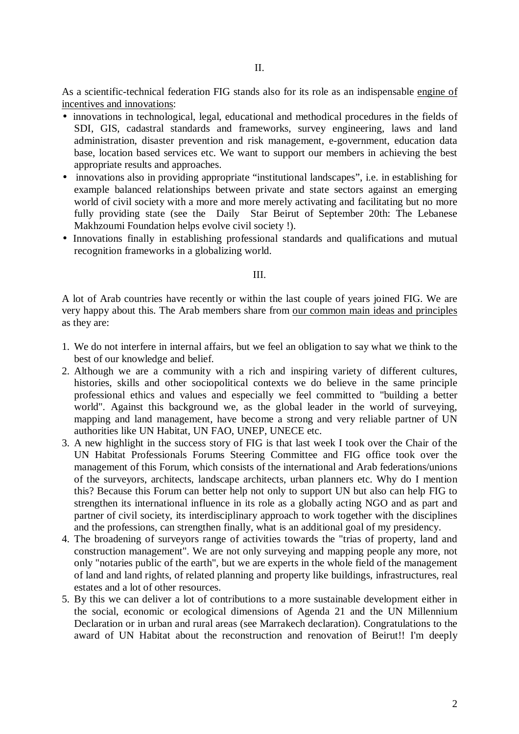As a scientific-technical federation FIG stands also for its role as an indispensable engine of incentives and innovations:

- innovations in technological, legal, educational and methodical procedures in the fields of SDI, GIS, cadastral standards and frameworks, survey engineering, laws and land administration, disaster prevention and risk management, e-government, education data base, location based services etc. We want to support our members in achieving the best appropriate results and approaches.
- innovations also in providing appropriate "institutional landscapes", i.e. in establishing for example balanced relationships between private and state sectors against an emerging world of civil society with a more and more merely activating and facilitating but no more fully providing state (see the Daily Star Beirut of September 20th: The Lebanese Makhzoumi Foundation helps evolve civil society !).
- Innovations finally in establishing professional standards and qualifications and mutual recognition frameworks in a globalizing world.

## III.

A lot of Arab countries have recently or within the last couple of years joined FIG. We are very happy about this. The Arab members share from our common main ideas and principles as they are:

- 1. We do not interfere in internal affairs, but we feel an obligation to say what we think to the best of our knowledge and belief.
- 2. Although we are a community with a rich and inspiring variety of different cultures, histories, skills and other sociopolitical contexts we do believe in the same principle professional ethics and values and especially we feel committed to "building a better world". Against this background we, as the global leader in the world of surveying, mapping and land management, have become a strong and very reliable partner of UN authorities like UN Habitat, UN FAO, UNEP, UNECE etc.
- 3. A new highlight in the success story of FIG is that last week I took over the Chair of the UN Habitat Professionals Forums Steering Committee and FIG office took over the management of this Forum, which consists of the international and Arab federations/unions of the surveyors, architects, landscape architects, urban planners etc. Why do I mention this? Because this Forum can better help not only to support UN but also can help FIG to strengthen its international influence in its role as a globally acting NGO and as part and partner of civil society, its interdisciplinary approach to work together with the disciplines and the professions, can strengthen finally, what is an additional goal of my presidency.
- 4. The broadening of surveyors range of activities towards the "trias of property, land and construction management". We are not only surveying and mapping people any more, not only "notaries public of the earth", but we are experts in the whole field of the management of land and land rights, of related planning and property like buildings, infrastructures, real estates and a lot of other resources.
- 5. By this we can deliver a lot of contributions to a more sustainable development either in the social, economic or ecological dimensions of Agenda 21 and the UN Millennium Declaration or in urban and rural areas (see Marrakech declaration). Congratulations to the award of UN Habitat about the reconstruction and renovation of Beirut!! I'm deeply